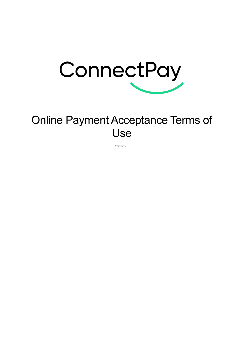

# Online Payment Acceptance Terms of Use

*Version1.1*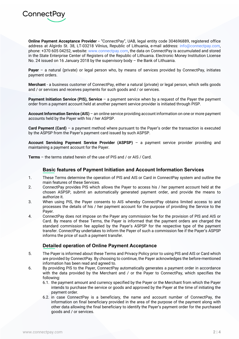

**Online Payment Acceptance Provider -** "ConnectPay", UAB, legal entity code 304696889, registered office address at Algirdo St. 38, LT-03218 Vilnius, Republic of Lithuania, e-mail address: [info@connectpay.com,](mailto:info@connectpay.com)  phone: +370 605 04252, website: [www.connectpay.com,](http://www.connectpay.com/) the data on ConnectPay is accumulated and stored in the State Enterprise Center of Registers of the Republic of Lithuania. Electronic Money Institution License No. 24 issued on 16 January 2018 by the supervisory body – the Bank of Lithuania.

**Payer** – a natural (private) or legal person who, by means of services provided by ConnectPay, initiates payment orders.

**Merchant** - a business customer of ConnectPay, either a natural (private) or legal person, which sells goods and / or services and receives payments for such goods and / or services.

**Payment Initiation Service (PIS), Service** – a payment service when by a request of the Payer the payment order from a payment account held at another payment service provider is initiated through PISP.

**Account Information Service (AIS)** – an online service providing account information on one or more payment accounts held by the Payer with his / her ASPSP.

**Card Payment (Card)** – a payment method where pursuant to the Payer's order the transaction is executed by the ASPSP from the Payer's payment card issued by such ASPSP.

**Account Servicing Payment Service Provider (ASPSP)** – a payment service provider providing and maintaining a payment account for the Payer.

**Terms** – the terms stated herein of the use of PIS and / or AIS / Card.

### **Basic features of Payment Initiation and Account Information Services**

- 1. These Terms determine the operation of PIS and AIS or Card in ConnectPay system and outline the main features of these Services.
- 2. ConnectPay provides PIS which allows the Payer to access his / her payment account held at the chosen ASPSP, submit an automatically generated payment order, and provide the means to authorize it.
- 3. When using PIS, the Payer consents to AIS whereby ConnectPay obtains limited access to and processes the details of his / her payment account for the purpose of providing the Service to the Payer.
- 4. ConnectPay does not impose on the Payer any commission fee for the provision of PIS and AIS or Card. By means of these Terms, the Payer is informed that the payment orders are charged the standard commission fee applied by the Payer's ASPSP for the respective type of the payment transfer. ConnectPay undertakes to inform the Payer of such a commission fee if the Payer's ASPSP informs the price of such a payment transfer.

### **Detailed operation of Online Payment Acceptance**

- 5. The Payer is informed about these Terms and Privacy Policy prior to using PIS and AIS or Card which are provided by ConnectPay. By choosing to continue, the Payer acknowledges the before-mentioned information has been read and agreed to.
- 6. By providing PIS to the Payer, ConnectPay automatically generates a payment order in accordance with the data provided by the Merchant and / or the Payer to ConnectPay, which specifies the following:
	- 6.1. the payment amount and currency specified by the Payer or the Merchant from which the Payer intends to purchase the service or goods and approved by the Payer at the time of initiating the payment order.
	- 6.2. in case ConnectPay is a beneficiary, the name and account number of ConnectPay, the information on final beneficiary provided in the area of the purpose of the payment along with other data allowing the final beneficiary to identify the Payer's payment order for the purchased goods and / or services.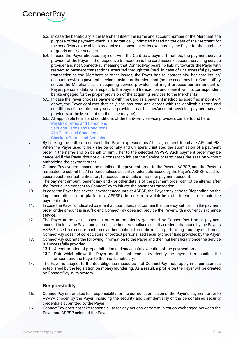

- 6.3. in case the beneficiary is the Merchant itself, the name and account number of the Merchant, the purpose of the payment which is automatically indicated based on the data of the Merchant for the beneficiary to be able to recognize the payment order executed by the Payer for the purchase of goods and / or services.
- 6.4. In case the Payer chooses payment with the Card as a payment method, the payment service provider of the Payer in the respective transaction is the card issuer / account servicing service provider and not ConnectPay, meaning that ConnectPay bears no liability towards the Payer with respect to payment transactions executed through the Card. In case of unsuccessful payment transaction to the Merchant or other issues, the Payer has to contact his/ her card issuer/ account servicing payment service provider or the Merchant (as the case may be). ConnectPay serves the Merchant as an acquiring service provider that might process certain amount of Payers personal data with respect to the payment transaction and share it with its correspondent banks engaged for the proper provision of the acquiring services to the Merchants.
- 6.5. In case the Payer chooses payment with the Card as a payment method as specified in point 6.4 above, the Payer confirms that he / she has read and agrees with the applicable terms and conditions of the third-party service providers: card issuer/account servicing payment service providers or the Merchant (as the case may be).
- 6.6. All applicable terms and conditions of the third-party service providers can be found here: [Paystrax Terms and Conditions](https://www.paystrax.com/wp-content/uploads/2021/05/Terms-for-PAYSTRAXs-merchant-framework-agreement.pdf) [SaltEdge Terms and Conditions](https://www.saltedge.com/legal/terms_of_service) [Aiia Terms and Conditions](https://www.aiia.eu/legal/aiia-terms-of-use) [Checkout Terms and Conditions](https://www.checkout.com/legal/terms-and-policies)
- 7. By clicking the button to consent, the Payer expresses his / her agreement to initiate AIS and PIS. When the Payer uses it, he / she personally and unilaterally initiates the submission of a payment order in the name and on behalf of him / her to the selected ASPSP. Such payment order may be cancelled if the Payer dos not give consent to initiate the Service or terminates the session without authorizing the payment order.
- 8. ConnectPay system passes the details of the payment order to the Payer's ASPSP, and the Payer is requested to submit his / her personalised security credentials issued by the Payer's ASPSP, used for secure customer authentication, to access the details of his / her payment account.
- 9. The payment amount, beneficiary and / or other details of the payment order cannot be altered after the Payer gives consent to ConnectPay to initiate the payment transaction.
- 10. In case the Payer has several payment accounts at ASPSP, the Payer may choose (depending on the implementation on the platform of ASPSP) the one from which he / she intends to execute the payment order.
- 11. In case the Payer's indicated payment account does not contain the currency set forth in the payment order or the amount is insufficient, ConnectPay does not provide the Payer with a currency exchange service.
- 12. The Payer authorizes a payment order automatically generated by ConnectPay from a payment account held by the Payer and submit his / her personalised security credentials issued by the Payer's ASPSP, used for secure customer authentication, to confirm it. In performing this payment order, ConnectPay does not collect, store, or protect personalized security credentials provided by the Payer.
- 13. ConnectPay submits the following information to the Payer and the final beneficiary once the Service is successfully provided:
	- 13.1. A confirmation of proper initiation and successful execution of the payment order.
	- 13.2. Data which allows the Payer and the final beneficiary identify the payment transaction, the amount and the Payer to the final beneficiary.
- 14. The Payer is subject to the due diligence measures that ConnectPay must apply in circumstances established by the legislation on money laundering. As a result, a profile on the Payer will be created by ConnectPay in its system.

# **Responsibility**

- 15. ConnectPay undertakes full responsibility for the correct submission of the Payer's payment order to ASPSP chosen by the Payer, including the security and confidentiality of the personalised security credentials submitted by the Payer.
- 16. ConnectPay does not take responsibility for any actions or communication exchanged between the Payer and ASPSP selected the Payer.